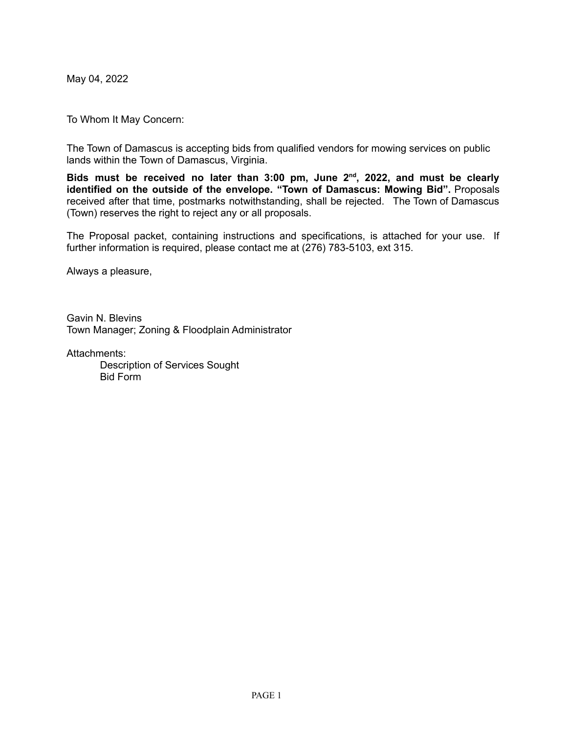May 04, 2022

To Whom It May Concern:

The Town of Damascus is accepting bids from qualified vendors for mowing services on public lands within the Town of Damascus, Virginia.

**Bids must be received no later than 3:00 pm, June 2 nd , 2022, and must be clearly identified on the outside of the envelope. "Town of Damascus: Mowing Bid".** Proposals received after that time, postmarks notwithstanding, shall be rejected. The Town of Damascus (Town) reserves the right to reject any or all proposals.

The Proposal packet, containing instructions and specifications, is attached for your use. If further information is required, please contact me at (276) 783-5103, ext 315.

Always a pleasure,

Gavin N. Blevins Town Manager; Zoning & Floodplain Administrator

Attachments: Description of Services Sought Bid Form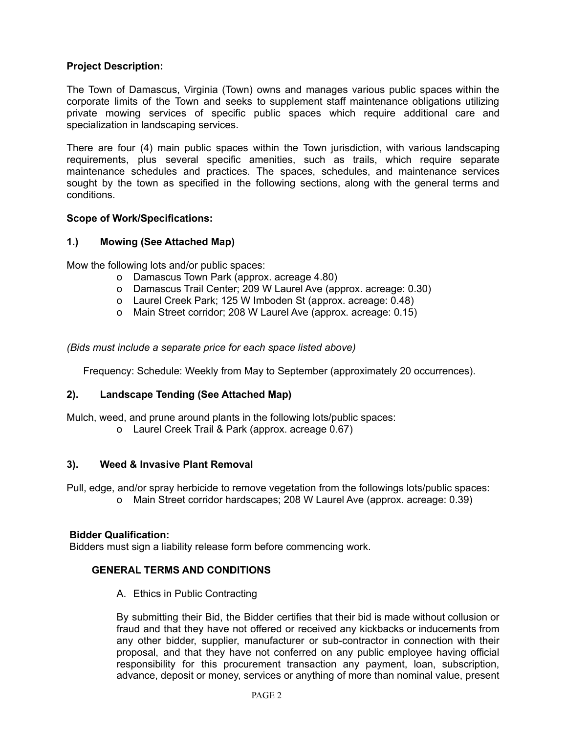## **Project Description:**

The Town of Damascus, Virginia (Town) owns and manages various public spaces within the corporate limits of the Town and seeks to supplement staff maintenance obligations utilizing private mowing services of specific public spaces which require additional care and specialization in landscaping services.

There are four (4) main public spaces within the Town jurisdiction, with various landscaping requirements, plus several specific amenities, such as trails, which require separate maintenance schedules and practices. The spaces, schedules, and maintenance services sought by the town as specified in the following sections, along with the general terms and conditions.

#### **Scope of Work/Specifications:**

### **1.) Mowing (See Attached Map)**

Mow the following lots and/or public spaces:

- o Damascus Town Park (approx. acreage 4.80)
- o Damascus Trail Center; 209 W Laurel Ave (approx. acreage: 0.30)
- o Laurel Creek Park; 125 W Imboden St (approx. acreage: 0.48)
- o Main Street corridor; 208 W Laurel Ave (approx. acreage: 0.15)

*(Bids must include a separate price for each space listed above)*

Frequency: Schedule: Weekly from May to September (approximately 20 occurrences).

### **2). Landscape Tending (See Attached Map)**

Mulch, weed, and prune around plants in the following lots/public spaces:

o Laurel Creek Trail & Park (approx. acreage 0.67)

#### **3). Weed & Invasive Plant Removal**

Pull, edge, and/or spray herbicide to remove vegetation from the followings lots/public spaces: o Main Street corridor hardscapes; 208 W Laurel Ave (approx. acreage: 0.39)

#### **Bidder Qualification:**

Bidders must sign a liability release form before commencing work.

### **GENERAL TERMS AND CONDITIONS**

A. Ethics in Public Contracting

By submitting their Bid, the Bidder certifies that their bid is made without collusion or fraud and that they have not offered or received any kickbacks or inducements from any other bidder, supplier, manufacturer or sub-contractor in connection with their proposal, and that they have not conferred on any public employee having official responsibility for this procurement transaction any payment, loan, subscription, advance, deposit or money, services or anything of more than nominal value, present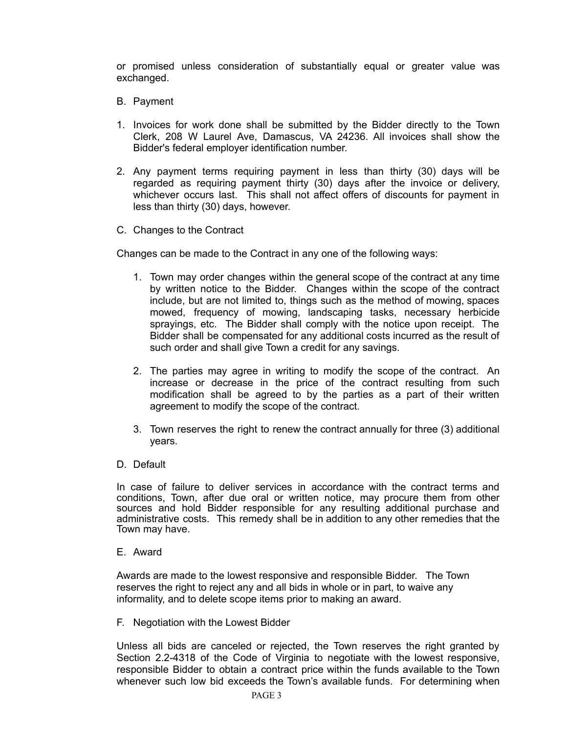or promised unless consideration of substantially equal or greater value was exchanged.

- B. Payment
- 1. Invoices for work done shall be submitted by the Bidder directly to the Town Clerk, 208 W Laurel Ave, Damascus, VA 24236. All invoices shall show the Bidder's federal employer identification number.
- 2. Any payment terms requiring payment in less than thirty (30) days will be regarded as requiring payment thirty (30) days after the invoice or delivery, whichever occurs last. This shall not affect offers of discounts for payment in less than thirty (30) days, however.
- C. Changes to the Contract

Changes can be made to the Contract in any one of the following ways:

- 1. Town may order changes within the general scope of the contract at any time by written notice to the Bidder. Changes within the scope of the contract include, but are not limited to, things such as the method of mowing, spaces mowed, frequency of mowing, landscaping tasks, necessary herbicide sprayings, etc. The Bidder shall comply with the notice upon receipt. The Bidder shall be compensated for any additional costs incurred as the result of such order and shall give Town a credit for any savings.
- 2. The parties may agree in writing to modify the scope of the contract. An increase or decrease in the price of the contract resulting from such modification shall be agreed to by the parties as a part of their written agreement to modify the scope of the contract.
- 3. Town reserves the right to renew the contract annually for three (3) additional years.
- D. Default

In case of failure to deliver services in accordance with the contract terms and conditions, Town, after due oral or written notice, may procure them from other sources and hold Bidder responsible for any resulting additional purchase and administrative costs. This remedy shall be in addition to any other remedies that the Town may have.

#### E. Award

Awards are made to the lowest responsive and responsible Bidder. The Town reserves the right to reject any and all bids in whole or in part, to waive any informality, and to delete scope items prior to making an award.

F. Negotiation with the Lowest Bidder

Unless all bids are canceled or rejected, the Town reserves the right granted by Section 2.2-4318 of the Code of Virginia to negotiate with the lowest responsive, responsible Bidder to obtain a contract price within the funds available to the Town whenever such low bid exceeds the Town's available funds. For determining when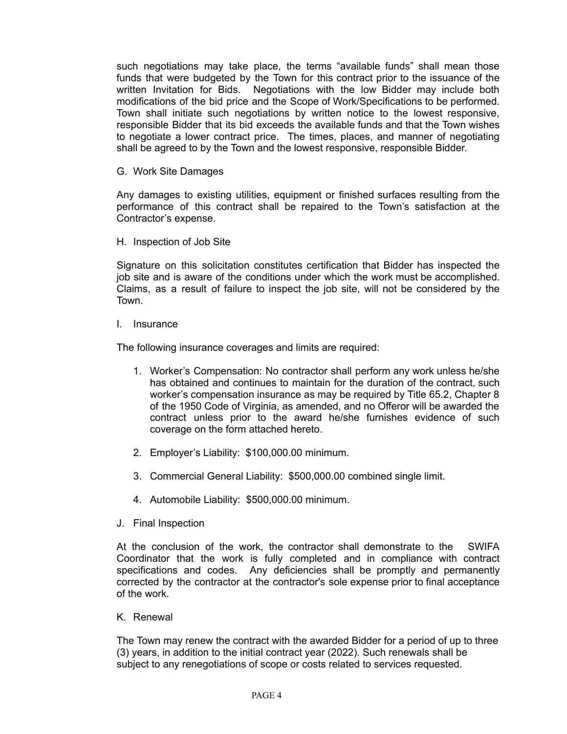such negotiations may take place, the terms "available funds" shall mean those funds that were budgeted by the Town for this contract prior to the issuance of the written Invitation for Bids. Negotiations with the low Bidder may include both modifications of the bid price and the Scope of Work/Specifications to be performed. Town shall initiate such negotiations by written notice to the lowest responsive, responsible Bidder that its bid exceeds the available funds and that the Town wishes to negotiate a lower contract price. The times, places, and manner of negotiating shall be agreed to by the Town and the lowest responsive, responsible Bidder.

G. Work Site Damages

Any damages to existing utilities, equipment or finished surfaces resulting from the performance of this contract shall be repaired to the Town's satisfaction at the Contractor's expense.

H. Inspection of Job Site

Signature on this solicitation constitutes certification that Bidder has inspected the job site and is aware of the conditions under which the work must be accomplished. Claims, as a result of failure to inspect the job site, will not be considered by the Town.

I. Insurance

The following insurance coverages and limits are required:

- 1. Worker's Compensation: No contractor shall perform any work unless he/she has obtained and continues to maintain for the duration of the contract, such worker's compensation insurance as may be required by Title 65.2, Chapter 8 of the 1950 Code of Virginia, as amended, and no Offeror will be awarded the contract unless prior to the award he/she furnishes evidence of such coverage on the form attached hereto.
- 2. Employer's Liability: \$100,000.00 minimum.
- 3. Commercial General Liability: \$500,000.00 combined single limit.
- 4. Automobile Liability: \$500,000.00 minimum.
- J. Final Inspection

At the conclusion of the work, the contractor shall demonstrate to the SWIFA Coordinator that the work is fully completed and in compliance with contract specifications and codes. Any deficiencies shall be promptly and permanently corrected by the contractor at the contractor's sole expense prior to final acceptance of the work.

K. Renewal

The Town may renew the contract with the awarded Bidder for a period of up to three (3) years, in addition to the initial contract year (2022). Such renewals shall be subject to any renegotiations of scope or costs related to services requested.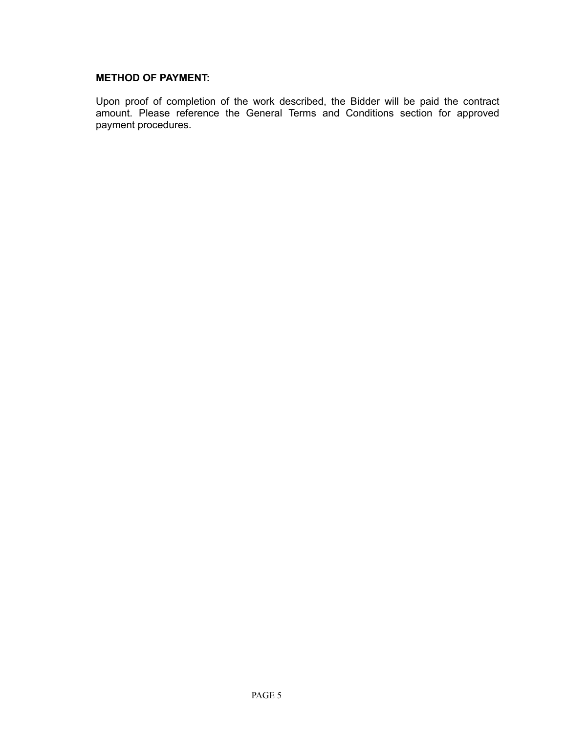### **METHOD OF PAYMENT:**

Upon proof of completion of the work described, the Bidder will be paid the contract amount. Please reference the General Terms and Conditions section for approved payment procedures.